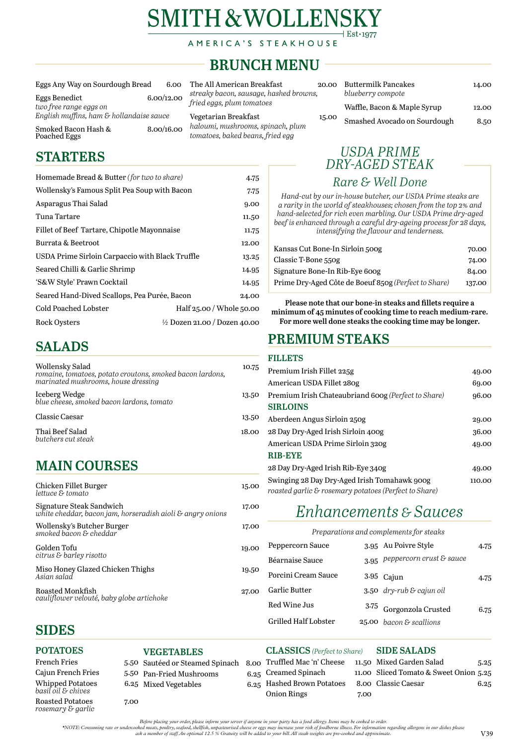# **SMITH & WOLLENSI**  $\vert$  Est $\cdot$ 1977

AMERICA'S STEAKHOUSE

*Before placing your order, please inform your server if anyone in your party has a food allergy. Items may be cooked to order.* 

*\*NOTE: Consuming raw or undercooked meats, poultry, seafood, shellfish, unpasteurised cheese or eggs may increase your risk of foodborne illness. For information regarding allergens in our dishes please* 

Smoked Bacon Hash & 8.00/16.00 Poached Eggs

*ask a member of staff. An optional 12.5 % Gratuity will be added to your bill. All steak weights are pre-cooked and approximate.* V39

Vegetarian Breakfast 15.0 *haloumi, mushrooms, spinach, plum tomatoes, baked beans, fried egg*

| Eggs Any Way on Sourdough Bread | 6.00      |
|---------------------------------|-----------|
| Eggs Donadiat                   | 6.0010.00 |

Eggs Benedict 6.00/12.00 *two free range eggs on English muffins, ham & hollandaise sauce*

> Porcini Cream Sauce Garlic Butter Red Wine Jus 3.75 Grilled Half Lobster 3.95 Cajun 4.75 *dry-rub & cajun oil* Gorgonzola Crusted 6.75 *bacon & scallions*

#### **POTATOES**  French Fries Cajun French Fries 5.50 Whipped Potatoes *basil oil & chives* Roasted Potatoes 7.00 **VEGETABLES**  5.50 Sautéed or Steamed Spinach 8.00 5.50 Pan-Fried Mushrooms 6.25 Mixed Vegetables **CLASSICS** *(Perfect to Share)* Truffled Mac 'n' Cheese 6.25 Creamed Spinach 6.25 Hashed Brown Potatoes Onion Rings 7.00 **SIDE SALADS**  11.50 Mixed Garden Salad 5.25 11.00 Sliced Tomato & Sweet Onion 5.25 8.00 Classic Caesar 6.25

The All American Breakfast 20.00 *streaky bacon, sausage, hashed browns, fried eggs, plum tomatoes*

| N | <b>Buttermilk Pancakes</b><br>blueberry compote | 14.00 |
|---|-------------------------------------------------|-------|
|   | Waffle, Bacon & Maple Syrup                     | 12.00 |
| Ю | Smashed Avocado on Sourdough                    | 8.50  |

# **BRUNCH MENU**

# *Enhancements & Sauces*

### *Preparations and complements for steaks*

| $\Omega$ | Peppercorn Sauce | 3.95 Au Poivre Style            | 4.75 |
|----------|------------------|---------------------------------|------|
|          | Béarnaise Sauce  | $3.95$ peppercorn crust & sauce |      |

*rosemary & garlic*

## **SIDES**

Roasted Monkfish 27.00 *cauliflower velouté, baby globe artichoke*

## **PREMIUM STEAKS**

### **FILLETS**

| Premium Irish Fillet 225g                                                                             | 49.00  |
|-------------------------------------------------------------------------------------------------------|--------|
| American USDA Fillet 280g                                                                             | 69.00  |
| Premium Irish Chateaubriand 600g (Perfect to Share)                                                   | 96.00  |
| <b>SIRLOINS</b>                                                                                       |        |
| Aberdeen Angus Sirloin 250g                                                                           | 29.00  |
| 28 Day Dry-Aged Irish Sirloin 400g                                                                    | 36.00  |
| American USDA Prime Sirloin 320g                                                                      | 49.00  |
| <b>RIB-EYE</b>                                                                                        |        |
| 28 Day Dry-Aged Irish Rib-Eye 340g                                                                    | 49.00  |
| Swinging 28 Day Dry-Aged Irish Tomahawk 900g<br>roasted garlic & rosemary potatoes (Perfect to Share) | 110.00 |
|                                                                                                       |        |

## *Rare & Well Done*

*Hand-cut by our in-house butcher, our USDA Prime steaks are a rarity in the world of steakhouses; chosen from the top 2% and hand-selected for rich even marbling. Our USDA Prime dry-aged beef is enhanced through a careful dry-ageing process for 28 days, intensifying the flavour and tenderness.*

| Kansas Cut Bone-In Sirloin 500g                      | 70.00  |
|------------------------------------------------------|--------|
| Classic T-Bone 550g                                  | 74.00  |
| Signature Bone-In Rib-Eye 600g                       | 84.00  |
| Prime Dry-Aged Côte de Boeuf 850g (Perfect to Share) | 137.00 |

## *USDA PRIME DRY-AGED STEAK*

**Please note that our bone-in steaks and fillets require a minimum of 45 minutes of cooking time to reach medium-rare. For more well done steaks the cooking time may be longer.**

# **SALADS**

| N                                                                                                                   |       |
|---------------------------------------------------------------------------------------------------------------------|-------|
| Thai Beef Salad<br>butchers cut steak                                                                               | 18.00 |
| <b>Classic Caesar</b>                                                                                               | 13.50 |
| Iceberg Wedge<br>blue cheese, smoked bacon lardons, tomato                                                          | 13.50 |
| Wollensky Salad<br>romaine, tomatoes, potato croutons, smoked bacon lardons,<br>marinated mushrooms, house dressing | 10.75 |
|                                                                                                                     |       |

# **MAIN COURSES**

| Chicken Fillet Burger<br>lettuce & tomato                                              | 15.00 |
|----------------------------------------------------------------------------------------|-------|
| Signature Steak Sandwich<br>white cheddar, bacon jam, horseradish aioli & angry onions | 17.00 |
| Wollensky's Butcher Burger<br>smoked bacon & cheddar                                   | 17.00 |
| Golden Tofu<br>citrus & barley risotto                                                 | 19.00 |

Miso Honey Glazed Chicken Thighs19.50 *Asian salad*

# **STARTERS**

| Homemade Bread & Butter (for two to share)      | 4.75                                    |
|-------------------------------------------------|-----------------------------------------|
| Wollensky's Famous Split Pea Soup with Bacon    | 7.75                                    |
| Asparagus Thai Salad                            | 9.00                                    |
| Tuna Tartare                                    | 11.50                                   |
| Fillet of Beef Tartare, Chipotle Mayonnaise     | 11.75                                   |
| <b>Burrata &amp; Beetroot</b>                   |                                         |
| USDA Prime Sirloin Carpaccio with Black Truffle | 13.25                                   |
| Seared Chilli & Garlic Shrimp                   | 14.95                                   |
| 'S&W Style' Prawn Cocktail<br>14.95             |                                         |
| Seared Hand-Dived Scallops, Pea Purée, Bacon    | 24.00                                   |
| <b>Cold Poached Lobster</b>                     | Half 25.00 / Whole 50.00                |
| <b>Rock Oysters</b>                             | $\frac{1}{2}$ Dozen 21.00 / Dozen 40.00 |